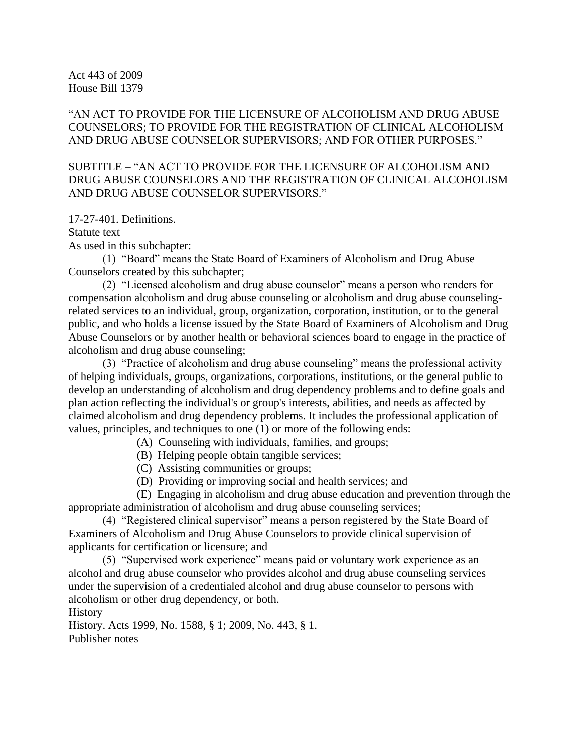Act 443 of 2009 House Bill 1379

"AN ACT TO PROVIDE FOR THE LICENSURE OF ALCOHOLISM AND DRUG ABUSE COUNSELORS; TO PROVIDE FOR THE REGISTRATION OF CLINICAL ALCOHOLISM AND DRUG ABUSE COUNSELOR SUPERVISORS; AND FOR OTHER PURPOSES."

SUBTITLE – "AN ACT TO PROVIDE FOR THE LICENSURE OF ALCOHOLISM AND DRUG ABUSE COUNSELORS AND THE REGISTRATION OF CLINICAL ALCOHOLISM AND DRUG ABUSE COUNSELOR SUPERVISORS."

17-27-401. Definitions.

Statute text

As used in this subchapter:

(1) "Board" means the State Board of Examiners of Alcoholism and Drug Abuse Counselors created by this subchapter;

(2) "Licensed alcoholism and drug abuse counselor" means a person who renders for compensation alcoholism and drug abuse counseling or alcoholism and drug abuse counselingrelated services to an individual, group, organization, corporation, institution, or to the general public, and who holds a license issued by the State Board of Examiners of Alcoholism and Drug Abuse Counselors or by another health or behavioral sciences board to engage in the practice of alcoholism and drug abuse counseling;

 $(3)$  "Practice of alcoholism and drug abuse counseling" means the professional activity of helping individuals, groups, organizations, corporations, institutions, or the general public to develop an understanding of alcoholism and drug dependency problems and to define goals and plan action reflecting the individual's or group's interests, abilities, and needs as affected by claimed alcoholism and drug dependency problems. It includes the professional application of values, principles, and techniques to one (1) or more of the following ends:

(A) Counseling with individuals, families, and groups;

(B) Helping people obtain tangible services;

(C) Assisting communities or groups;

(D) Providing or improving social and health services; and

(E) Engaging in alcoholism and drug abuse education and prevention through the appropriate administration of alcoholism and drug abuse counseling services;

(4) "Registered clinical supervisor" means a person registered by the State Board of Examiners of Alcoholism and Drug Abuse Counselors to provide clinical supervision of applicants for certification or licensure; and

(5) "Supervised work experience" means paid or voluntary work experience as an alcohol and drug abuse counselor who provides alcohol and drug abuse counseling services under the supervision of a credentialed alcohol and drug abuse counselor to persons with alcoholism or other drug dependency, or both.

History

History. Acts 1999, No. 1588, § 1; 2009, No. 443, § 1. Publisher notes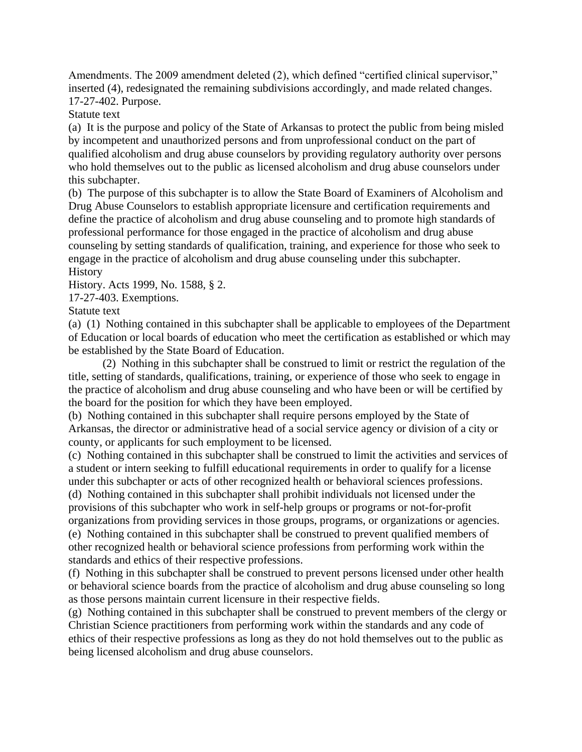Amendments. The 2009 amendment deleted (2), which defined "certified clinical supervisor," inserted (4), redesignated the remaining subdivisions accordingly, and made related changes. 17-27-402. Purpose.

Statute text

(a) It is the purpose and policy of the State of Arkansas to protect the public from being misled by incompetent and unauthorized persons and from unprofessional conduct on the part of qualified alcoholism and drug abuse counselors by providing regulatory authority over persons who hold themselves out to the public as licensed alcoholism and drug abuse counselors under this subchapter.

(b) The purpose of this subchapter is to allow the State Board of Examiners of Alcoholism and Drug Abuse Counselors to establish appropriate licensure and certification requirements and define the practice of alcoholism and drug abuse counseling and to promote high standards of professional performance for those engaged in the practice of alcoholism and drug abuse counseling by setting standards of qualification, training, and experience for those who seek to engage in the practice of alcoholism and drug abuse counseling under this subchapter. **History** 

History. Acts 1999, No. 1588, § 2.

17-27-403. Exemptions.

Statute text

(a) (1) Nothing contained in this subchapter shall be applicable to employees of the Department of Education or local boards of education who meet the certification as established or which may be established by the State Board of Education.

(2) Nothing in this subchapter shall be construed to limit or restrict the regulation of the title, setting of standards, qualifications, training, or experience of those who seek to engage in the practice of alcoholism and drug abuse counseling and who have been or will be certified by the board for the position for which they have been employed.

(b) Nothing contained in this subchapter shall require persons employed by the State of Arkansas, the director or administrative head of a social service agency or division of a city or county, or applicants for such employment to be licensed.

(c) Nothing contained in this subchapter shall be construed to limit the activities and services of a student or intern seeking to fulfill educational requirements in order to qualify for a license under this subchapter or acts of other recognized health or behavioral sciences professions.

(d) Nothing contained in this subchapter shall prohibit individuals not licensed under the provisions of this subchapter who work in self-help groups or programs or not-for-profit organizations from providing services in those groups, programs, or organizations or agencies.

(e) Nothing contained in this subchapter shall be construed to prevent qualified members of other recognized health or behavioral science professions from performing work within the standards and ethics of their respective professions.

(f) Nothing in this subchapter shall be construed to prevent persons licensed under other health or behavioral science boards from the practice of alcoholism and drug abuse counseling so long as those persons maintain current licensure in their respective fields.

(g) Nothing contained in this subchapter shall be construed to prevent members of the clergy or Christian Science practitioners from performing work within the standards and any code of ethics of their respective professions as long as they do not hold themselves out to the public as being licensed alcoholism and drug abuse counselors.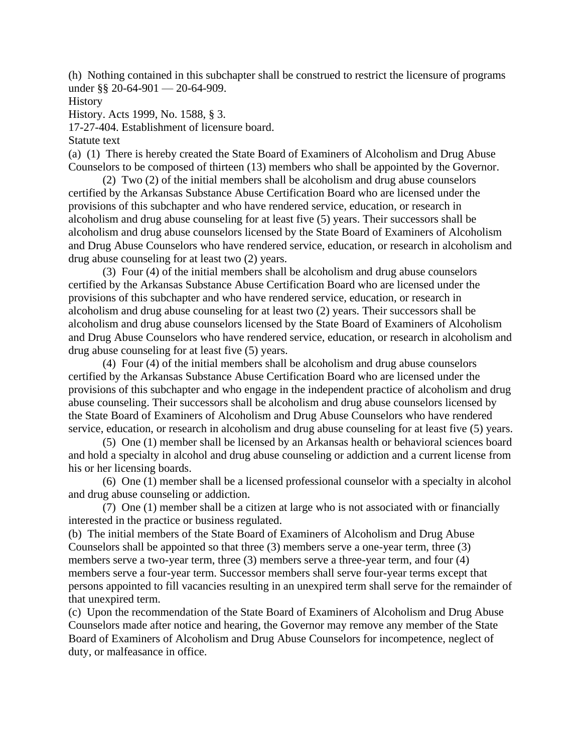(h) Nothing contained in this subchapter shall be construed to restrict the licensure of programs under §§ 20-64-901 — 20-64-909.

History

History. Acts 1999, No. 1588, § 3.

17-27-404. Establishment of licensure board.

Statute text

(a) (1) There is hereby created the State Board of Examiners of Alcoholism and Drug Abuse Counselors to be composed of thirteen (13) members who shall be appointed by the Governor.

(2) Two (2) of the initial members shall be alcoholism and drug abuse counselors certified by the Arkansas Substance Abuse Certification Board who are licensed under the provisions of this subchapter and who have rendered service, education, or research in alcoholism and drug abuse counseling for at least five (5) years. Their successors shall be alcoholism and drug abuse counselors licensed by the State Board of Examiners of Alcoholism and Drug Abuse Counselors who have rendered service, education, or research in alcoholism and drug abuse counseling for at least two (2) years.

(3) Four (4) of the initial members shall be alcoholism and drug abuse counselors certified by the Arkansas Substance Abuse Certification Board who are licensed under the provisions of this subchapter and who have rendered service, education, or research in alcoholism and drug abuse counseling for at least two (2) years. Their successors shall be alcoholism and drug abuse counselors licensed by the State Board of Examiners of Alcoholism and Drug Abuse Counselors who have rendered service, education, or research in alcoholism and drug abuse counseling for at least five (5) years.

(4) Four (4) of the initial members shall be alcoholism and drug abuse counselors certified by the Arkansas Substance Abuse Certification Board who are licensed under the provisions of this subchapter and who engage in the independent practice of alcoholism and drug abuse counseling. Their successors shall be alcoholism and drug abuse counselors licensed by the State Board of Examiners of Alcoholism and Drug Abuse Counselors who have rendered service, education, or research in alcoholism and drug abuse counseling for at least five (5) years.

(5) One (1) member shall be licensed by an Arkansas health or behavioral sciences board and hold a specialty in alcohol and drug abuse counseling or addiction and a current license from his or her licensing boards.

(6) One (1) member shall be a licensed professional counselor with a specialty in alcohol and drug abuse counseling or addiction.

(7) One (1) member shall be a citizen at large who is not associated with or financially interested in the practice or business regulated.

(b) The initial members of the State Board of Examiners of Alcoholism and Drug Abuse Counselors shall be appointed so that three (3) members serve a one-year term, three (3) members serve a two-year term, three (3) members serve a three-year term, and four (4) members serve a four-year term. Successor members shall serve four-year terms except that persons appointed to fill vacancies resulting in an unexpired term shall serve for the remainder of that unexpired term.

(c) Upon the recommendation of the State Board of Examiners of Alcoholism and Drug Abuse Counselors made after notice and hearing, the Governor may remove any member of the State Board of Examiners of Alcoholism and Drug Abuse Counselors for incompetence, neglect of duty, or malfeasance in office.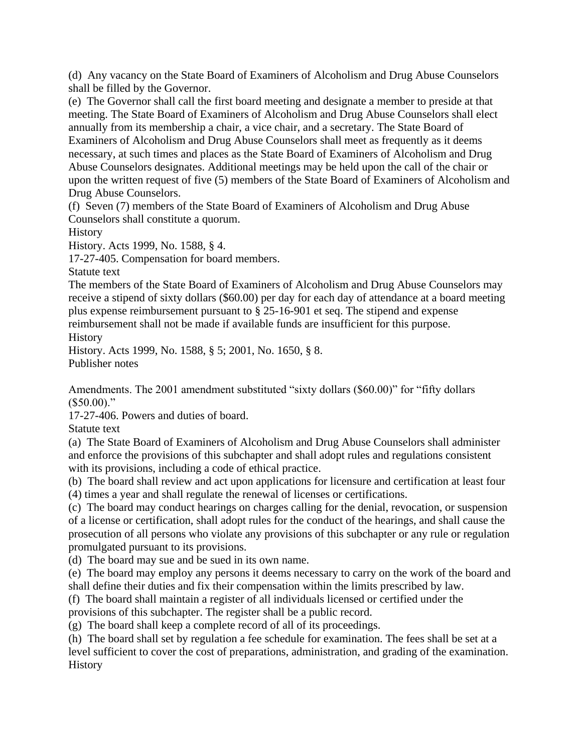(d) Any vacancy on the State Board of Examiners of Alcoholism and Drug Abuse Counselors shall be filled by the Governor.

(e) The Governor shall call the first board meeting and designate a member to preside at that meeting. The State Board of Examiners of Alcoholism and Drug Abuse Counselors shall elect annually from its membership a chair, a vice chair, and a secretary. The State Board of Examiners of Alcoholism and Drug Abuse Counselors shall meet as frequently as it deems necessary, at such times and places as the State Board of Examiners of Alcoholism and Drug Abuse Counselors designates. Additional meetings may be held upon the call of the chair or upon the written request of five (5) members of the State Board of Examiners of Alcoholism and Drug Abuse Counselors.

(f) Seven (7) members of the State Board of Examiners of Alcoholism and Drug Abuse Counselors shall constitute a quorum.

History

History. Acts 1999, No. 1588, § 4.

17-27-405. Compensation for board members.

Statute text

The members of the State Board of Examiners of Alcoholism and Drug Abuse Counselors may receive a stipend of sixty dollars (\$60.00) per day for each day of attendance at a board meeting plus expense reimbursement pursuant to § 25-16-901 et seq. The stipend and expense reimbursement shall not be made if available funds are insufficient for this purpose.

**History** 

History. Acts 1999, No. 1588, § 5; 2001, No. 1650, § 8. Publisher notes

Amendments. The 2001 amendment substituted "sixty dollars (\$60.00)" for "fifty dollars  $($50.00)."$ 

17-27-406. Powers and duties of board.

Statute text

(a) The State Board of Examiners of Alcoholism and Drug Abuse Counselors shall administer and enforce the provisions of this subchapter and shall adopt rules and regulations consistent with its provisions, including a code of ethical practice.

(b) The board shall review and act upon applications for licensure and certification at least four

(4) times a year and shall regulate the renewal of licenses or certifications.

(c) The board may conduct hearings on charges calling for the denial, revocation, or suspension of a license or certification, shall adopt rules for the conduct of the hearings, and shall cause the prosecution of all persons who violate any provisions of this subchapter or any rule or regulation promulgated pursuant to its provisions.

(d) The board may sue and be sued in its own name.

(e) The board may employ any persons it deems necessary to carry on the work of the board and shall define their duties and fix their compensation within the limits prescribed by law.

(f) The board shall maintain a register of all individuals licensed or certified under the provisions of this subchapter. The register shall be a public record.

(g) The board shall keep a complete record of all of its proceedings.

(h) The board shall set by regulation a fee schedule for examination. The fees shall be set at a level sufficient to cover the cost of preparations, administration, and grading of the examination. History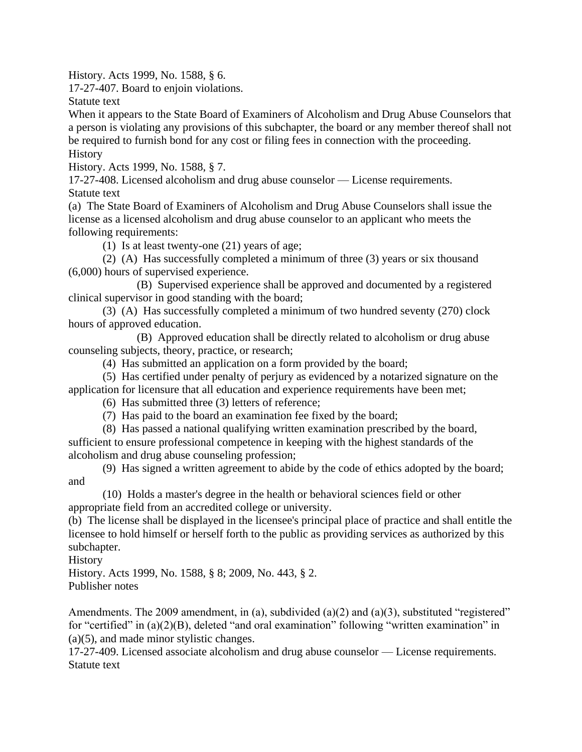History. Acts 1999, No. 1588, § 6.

17-27-407. Board to enjoin violations.

Statute text

When it appears to the State Board of Examiners of Alcoholism and Drug Abuse Counselors that a person is violating any provisions of this subchapter, the board or any member thereof shall not be required to furnish bond for any cost or filing fees in connection with the proceeding. **History** 

History. Acts 1999, No. 1588, § 7.

17-27-408. Licensed alcoholism and drug abuse counselor — License requirements. Statute text

(a) The State Board of Examiners of Alcoholism and Drug Abuse Counselors shall issue the license as a licensed alcoholism and drug abuse counselor to an applicant who meets the following requirements:

(1) Is at least twenty-one (21) years of age;

(2) (A) Has successfully completed a minimum of three (3) years or six thousand (6,000) hours of supervised experience.

(B) Supervised experience shall be approved and documented by a registered clinical supervisor in good standing with the board;

(3) (A) Has successfully completed a minimum of two hundred seventy (270) clock hours of approved education.

(B) Approved education shall be directly related to alcoholism or drug abuse counseling subjects, theory, practice, or research;

(4) Has submitted an application on a form provided by the board;

(5) Has certified under penalty of perjury as evidenced by a notarized signature on the application for licensure that all education and experience requirements have been met;

(6) Has submitted three (3) letters of reference;

(7) Has paid to the board an examination fee fixed by the board;

(8) Has passed a national qualifying written examination prescribed by the board,

sufficient to ensure professional competence in keeping with the highest standards of the alcoholism and drug abuse counseling profession;

(9) Has signed a written agreement to abide by the code of ethics adopted by the board; and

(10) Holds a master's degree in the health or behavioral sciences field or other appropriate field from an accredited college or university.

(b) The license shall be displayed in the licensee's principal place of practice and shall entitle the licensee to hold himself or herself forth to the public as providing services as authorized by this subchapter.

History

History. Acts 1999, No. 1588, § 8; 2009, No. 443, § 2. Publisher notes

Amendments. The 2009 amendment, in (a), subdivided (a)(2) and (a)(3), substituted "registered" for "certified" in  $(a)(2)(B)$ , deleted "and oral examination" following "written examination" in (a)(5), and made minor stylistic changes.

17-27-409. Licensed associate alcoholism and drug abuse counselor — License requirements. Statute text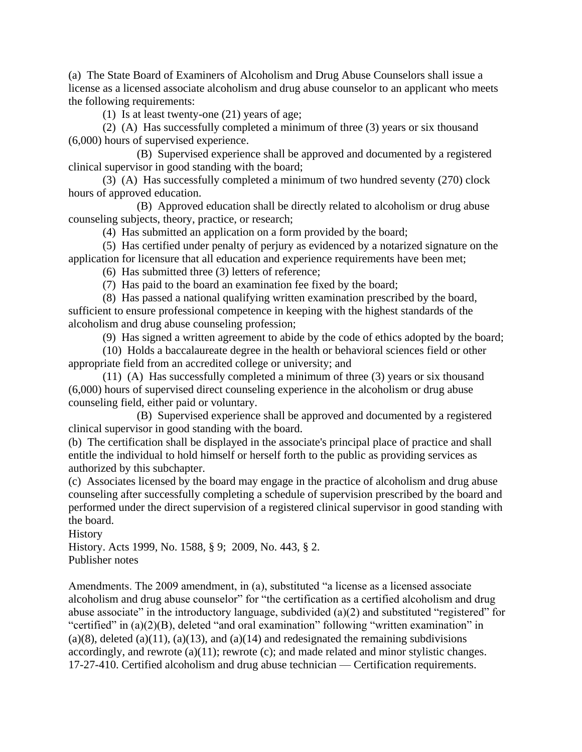(a) The State Board of Examiners of Alcoholism and Drug Abuse Counselors shall issue a license as a licensed associate alcoholism and drug abuse counselor to an applicant who meets the following requirements:

(1) Is at least twenty-one (21) years of age;

(2) (A) Has successfully completed a minimum of three (3) years or six thousand (6,000) hours of supervised experience.

(B) Supervised experience shall be approved and documented by a registered clinical supervisor in good standing with the board;

(3) (A) Has successfully completed a minimum of two hundred seventy (270) clock hours of approved education.

(B) Approved education shall be directly related to alcoholism or drug abuse counseling subjects, theory, practice, or research;

(4) Has submitted an application on a form provided by the board;

(5) Has certified under penalty of perjury as evidenced by a notarized signature on the application for licensure that all education and experience requirements have been met;

(6) Has submitted three (3) letters of reference;

(7) Has paid to the board an examination fee fixed by the board;

(8) Has passed a national qualifying written examination prescribed by the board, sufficient to ensure professional competence in keeping with the highest standards of the alcoholism and drug abuse counseling profession;

(9) Has signed a written agreement to abide by the code of ethics adopted by the board;

(10) Holds a baccalaureate degree in the health or behavioral sciences field or other appropriate field from an accredited college or university; and

(11) (A) Has successfully completed a minimum of three (3) years or six thousand (6,000) hours of supervised direct counseling experience in the alcoholism or drug abuse counseling field, either paid or voluntary.

(B) Supervised experience shall be approved and documented by a registered clinical supervisor in good standing with the board.

(b) The certification shall be displayed in the associate's principal place of practice and shall entitle the individual to hold himself or herself forth to the public as providing services as authorized by this subchapter.

(c) Associates licensed by the board may engage in the practice of alcoholism and drug abuse counseling after successfully completing a schedule of supervision prescribed by the board and performed under the direct supervision of a registered clinical supervisor in good standing with the board.

**History** 

History. Acts 1999, No. 1588, § 9; 2009, No. 443, § 2. Publisher notes

Amendments. The 2009 amendment, in (a), substituted "a license as a licensed associate alcoholism and drug abuse counselor" for "the certification as a certified alcoholism and drug abuse associate" in the introductory language, subdivided (a) $(2)$  and substituted "registered" for "certified" in  $(a)(2)(B)$ , deleted "and oral examination" following "written examination" in  $(a)(8)$ , deleted  $(a)(11)$ ,  $(a)(13)$ , and  $(a)(14)$  and redesignated the remaining subdivisions accordingly, and rewrote (a)(11); rewrote (c); and made related and minor stylistic changes. 17-27-410. Certified alcoholism and drug abuse technician — Certification requirements.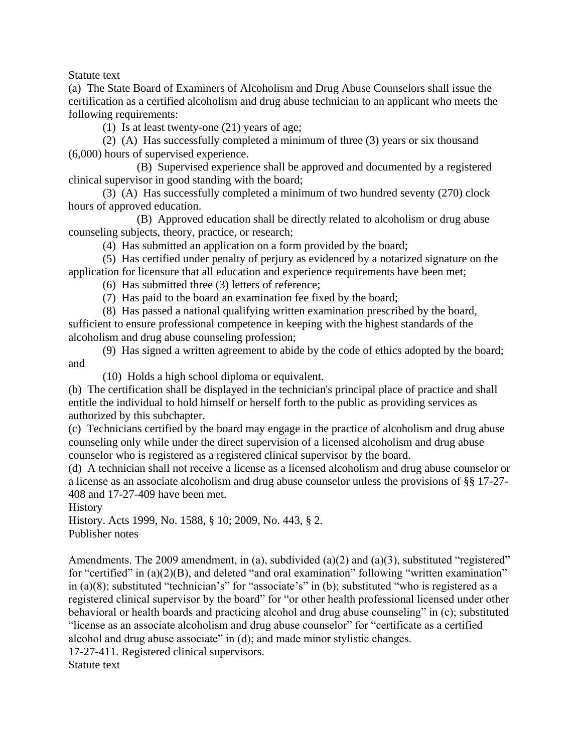Statute text

(a) The State Board of Examiners of Alcoholism and Drug Abuse Counselors shall issue the certification as a certified alcoholism and drug abuse technician to an applicant who meets the following requirements:

(1) Is at least twenty-one (21) years of age;

(2) (A) Has successfully completed a minimum of three (3) years or six thousand (6,000) hours of supervised experience.

(B) Supervised experience shall be approved and documented by a registered clinical supervisor in good standing with the board;

(3) (A) Has successfully completed a minimum of two hundred seventy (270) clock hours of approved education.

(B) Approved education shall be directly related to alcoholism or drug abuse counseling subjects, theory, practice, or research;

(4) Has submitted an application on a form provided by the board;

(5) Has certified under penalty of perjury as evidenced by a notarized signature on the application for licensure that all education and experience requirements have been met;

(6) Has submitted three (3) letters of reference;

(7) Has paid to the board an examination fee fixed by the board;

(8) Has passed a national qualifying written examination prescribed by the board, sufficient to ensure professional competence in keeping with the highest standards of the alcoholism and drug abuse counseling profession;

(9) Has signed a written agreement to abide by the code of ethics adopted by the board; and

(10) Holds a high school diploma or equivalent.

(b) The certification shall be displayed in the technician's principal place of practice and shall entitle the individual to hold himself or herself forth to the public as providing services as authorized by this subchapter.

(c) Technicians certified by the board may engage in the practice of alcoholism and drug abuse counseling only while under the direct supervision of a licensed alcoholism and drug abuse counselor who is registered as a registered clinical supervisor by the board.

(d) A technician shall not receive a license as a licensed alcoholism and drug abuse counselor or a license as an associate alcoholism and drug abuse counselor unless the provisions of §§ 17-27- 408 and 17-27-409 have been met.

History

History. Acts 1999, No. 1588, § 10; 2009, No. 443, § 2. Publisher notes

Amendments. The 2009 amendment, in (a), subdivided (a)(2) and (a)(3), substituted "registered" for "certified" in  $(a)(2)(B)$ , and deleted "and oral examination" following "written examination" in (a)(8); substituted "technician's" for "associate's" in (b); substituted "who is registered as a registered clinical supervisor by the board" for "or other health professional licensed under other behavioral or health boards and practicing alcohol and drug abuse counseling" in  $(c)$ ; substituted "license as an associate alcoholism and drug abuse counselor" for "certificate as a certified alcohol and drug abuse associate" in  $(d)$ ; and made minor stylistic changes.

17-27-411. Registered clinical supervisors.

Statute text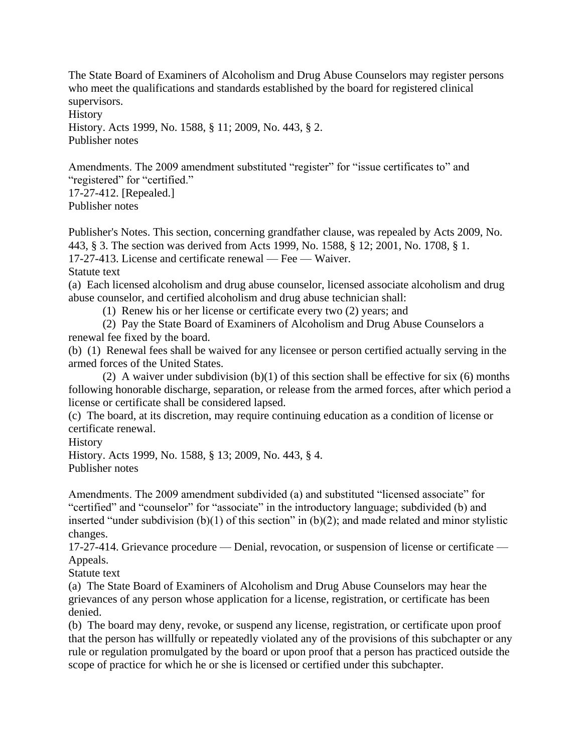The State Board of Examiners of Alcoholism and Drug Abuse Counselors may register persons who meet the qualifications and standards established by the board for registered clinical supervisors.

**History** 

History. Acts 1999, No. 1588, § 11; 2009, No. 443, § 2. Publisher notes

Amendments. The 2009 amendment substituted "register" for "issue certificates to" and "registered" for "certified." 17-27-412. [Repealed.] Publisher notes

Publisher's Notes. This section, concerning grandfather clause, was repealed by Acts 2009, No. 443, § 3. The section was derived from Acts 1999, No. 1588, § 12; 2001, No. 1708, § 1.

17-27-413. License and certificate renewal — Fee — Waiver.

Statute text

(a) Each licensed alcoholism and drug abuse counselor, licensed associate alcoholism and drug abuse counselor, and certified alcoholism and drug abuse technician shall:

(1) Renew his or her license or certificate every two (2) years; and

(2) Pay the State Board of Examiners of Alcoholism and Drug Abuse Counselors a renewal fee fixed by the board.

(b) (1) Renewal fees shall be waived for any licensee or person certified actually serving in the armed forces of the United States.

(2) A waiver under subdivision  $(b)(1)$  of this section shall be effective for six (6) months following honorable discharge, separation, or release from the armed forces, after which period a license or certificate shall be considered lapsed.

(c) The board, at its discretion, may require continuing education as a condition of license or certificate renewal.

**History** 

History. Acts 1999, No. 1588, § 13; 2009, No. 443, § 4. Publisher notes

Amendments. The 2009 amendment subdivided (a) and substituted "licensed associate" for "certified" and "counselor" for "associate" in the introductory language; subdivided (b) and inserted "under subdivision (b)(1) of this section" in (b)(2); and made related and minor stylistic changes.

17-27-414. Grievance procedure — Denial, revocation, or suspension of license or certificate — Appeals.

Statute text

(a) The State Board of Examiners of Alcoholism and Drug Abuse Counselors may hear the grievances of any person whose application for a license, registration, or certificate has been denied.

(b) The board may deny, revoke, or suspend any license, registration, or certificate upon proof that the person has willfully or repeatedly violated any of the provisions of this subchapter or any rule or regulation promulgated by the board or upon proof that a person has practiced outside the scope of practice for which he or she is licensed or certified under this subchapter.